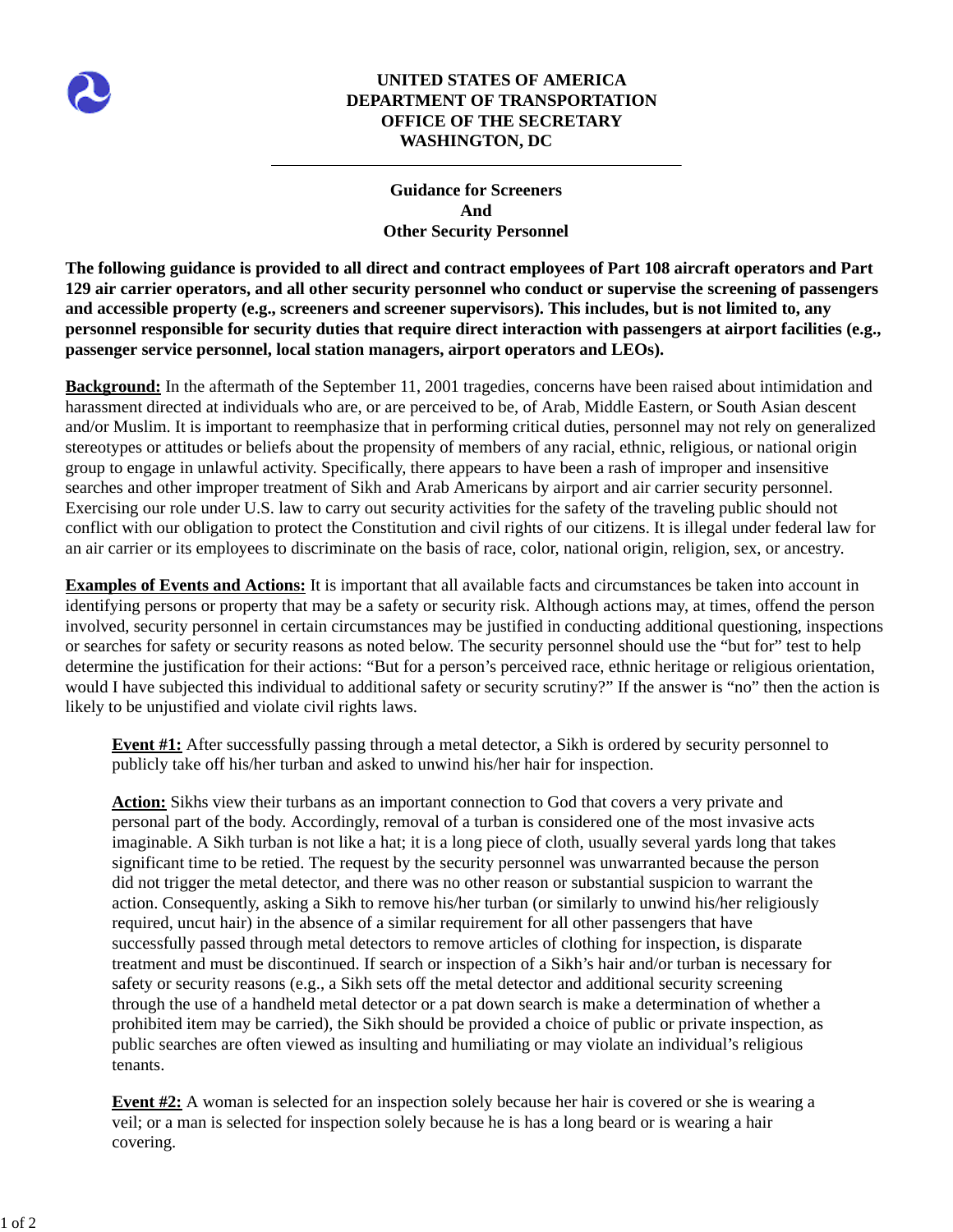

## **UNITED STATES OF AMERICA DEPARTMENT OF TRANSPORTATION OFFICE OF THE SECRETARY WASHINGTON, DC**

## **Guidance for Screeners And Other Security Personnel**

**The following guidance is provided to all direct and contract employees of Part 108 aircraft operators and Part 129 air carrier operators, and all other security personnel who conduct or supervise the screening of passengers and accessible property (e.g., screeners and screener supervisors). This includes, but is not limited to, any personnel responsible for security duties that require direct interaction with passengers at airport facilities (e.g., passenger service personnel, local station managers, airport operators and LEOs).**

**Background:** In the aftermath of the September 11, 2001 tragedies, concerns have been raised about intimidation and harassment directed at individuals who are, or are perceived to be, of Arab, Middle Eastern, or South Asian descent and/or Muslim. It is important to reemphasize that in performing critical duties, personnel may not rely on generalized stereotypes or attitudes or beliefs about the propensity of members of any racial, ethnic, religious, or national origin group to engage in unlawful activity. Specifically, there appears to have been a rash of improper and insensitive searches and other improper treatment of Sikh and Arab Americans by airport and air carrier security personnel. Exercising our role under U.S. law to carry out security activities for the safety of the traveling public should not conflict with our obligation to protect the Constitution and civil rights of our citizens. It is illegal under federal law for an air carrier or its employees to discriminate on the basis of race, color, national origin, religion, sex, or ancestry.

**Examples of Events and Actions:** It is important that all available facts and circumstances be taken into account in identifying persons or property that may be a safety or security risk. Although actions may, at times, offend the person involved, security personnel in certain circumstances may be justified in conducting additional questioning, inspections or searches for safety or security reasons as noted below. The security personnel should use the "but for" test to help determine the justification for their actions: "But for a person's perceived race, ethnic heritage or religious orientation, would I have subjected this individual to additional safety or security scrutiny?" If the answer is "no" then the action is likely to be unjustified and violate civil rights laws.

**Event #1:** After successfully passing through a metal detector, a Sikh is ordered by security personnel to publicly take off his/her turban and asked to unwind his/her hair for inspection.

**Action:** Sikhs view their turbans as an important connection to God that covers a very private and personal part of the body. Accordingly, removal of a turban is considered one of the most invasive acts imaginable. A Sikh turban is not like a hat; it is a long piece of cloth, usually several yards long that takes significant time to be retied. The request by the security personnel was unwarranted because the person did not trigger the metal detector, and there was no other reason or substantial suspicion to warrant the action. Consequently, asking a Sikh to remove his/her turban (or similarly to unwind his/her religiously required, uncut hair) in the absence of a similar requirement for all other passengers that have successfully passed through metal detectors to remove articles of clothing for inspection, is disparate treatment and must be discontinued. If search or inspection of a Sikh's hair and/or turban is necessary for safety or security reasons (e.g., a Sikh sets off the metal detector and additional security screening through the use of a handheld metal detector or a pat down search is make a determination of whether a prohibited item may be carried), the Sikh should be provided a choice of public or private inspection, as public searches are often viewed as insulting and humiliating or may violate an individual's religious tenants.

**Event #2:** A woman is selected for an inspection solely because her hair is covered or she is wearing a veil; or a man is selected for inspection solely because he is has a long beard or is wearing a hair covering.